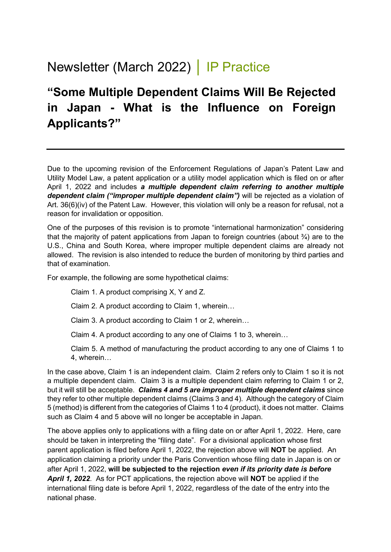## Newsletter (March 2022) │ IP Practice

## **"Some Multiple Dependent Claims Will Be Rejected in Japan - What is the Influence on Foreign Applicants?"**

Due to the upcoming revision of the Enforcement Regulations of Japan's Patent Law and Utility Model Law, a patent application or a utility model application which is filed on or after April 1, 2022 and includes *a multiple dependent claim referring to another multiple dependent claim ("improper multiple dependent claim")* will be rejected as a violation of Art. 36(6)(iv) of the Patent Law. However, this violation will only be a reason for refusal, not a reason for invalidation or opposition.

One of the purposes of this revision is to promote "international harmonization" considering that the majority of patent applications from Japan to foreign countries (about  $\frac{3}{4}$ ) are to the U.S., China and South Korea, where improper multiple dependent claims are already not allowed. The revision is also intended to reduce the burden of monitoring by third parties and that of examination.

For example, the following are some hypothetical claims:

Claim 1. A product comprising X, Y and Z.

Claim 2. A product according to Claim 1, wherein…

Claim 3. A product according to Claim 1 or 2, wherein…

Claim 4. A product according to any one of Claims 1 to 3, wherein…

Claim 5. A method of manufacturing the product according to any one of Claims 1 to 4, wherein…

In the case above, Claim 1 is an independent claim. Claim 2 refers only to Claim 1 so it is not a multiple dependent claim. Claim 3 is a multiple dependent claim referring to Claim 1 or 2, but it will still be acceptable. *Claims 4 and 5 are improper multiple dependent claims* since they refer to other multiple dependent claims (Claims 3 and 4). Although the category of Claim 5 (method) is different from the categories of Claims 1 to 4 (product), it does not matter. Claims such as Claim 4 and 5 above will no longer be acceptable in Japan.

The above applies only to applications with a filing date on or after April 1, 2022. Here, care should be taken in interpreting the "filing date". For a divisional application whose first parent application is filed before April 1, 2022, the rejection above will **NOT** be applied. An application claiming a priority under the Paris Convention whose filing date in Japan is on or after April 1, 2022, **will be subjected to the rejection** *even if its priority date is before April 1, 2022*. As for PCT applications, the rejection above will **NOT** be applied if the international filing date is before April 1, 2022, regardless of the date of the entry into the national phase.